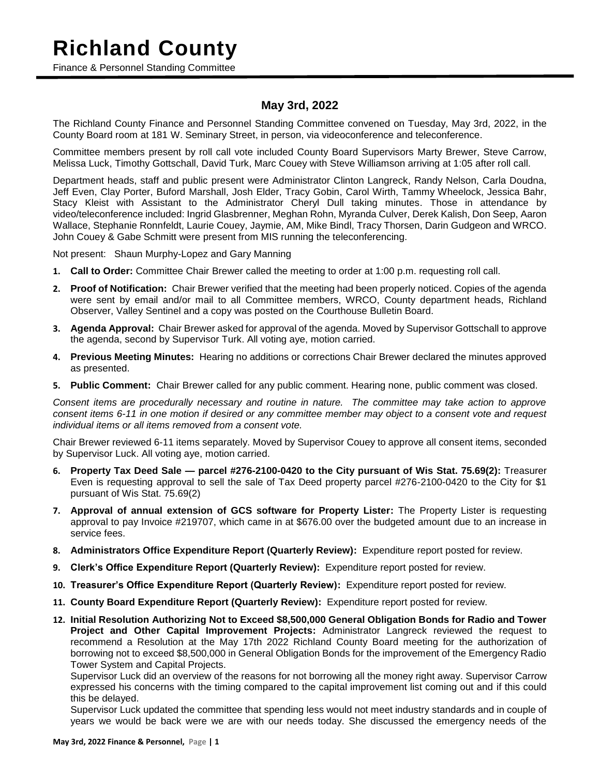### **Richland County**

Finance & Personnel Standing Committee

### **May 3rd, 2022**

The Richland County Finance and Personnel Standing Committee convened on Tuesday, May 3rd, 2022, in the County Board room at 181 W. Seminary Street, in person, via videoconference and teleconference.

Committee members present by roll call vote included County Board Supervisors Marty Brewer, Steve Carrow, Melissa Luck, Timothy Gottschall, David Turk, Marc Couey with Steve Williamson arriving at 1:05 after roll call.

Department heads, staff and public present were Administrator Clinton Langreck, Randy Nelson, Carla Doudna, Jeff Even, Clay Porter, Buford Marshall, Josh Elder, Tracy Gobin, Carol Wirth, Tammy Wheelock, Jessica Bahr, Stacy Kleist with Assistant to the Administrator Cheryl Dull taking minutes. Those in attendance by video/teleconference included: Ingrid Glasbrenner, Meghan Rohn, Myranda Culver, Derek Kalish, Don Seep, Aaron Wallace, Stephanie Ronnfeldt, Laurie Couey, Jaymie, AM, Mike Bindl, Tracy Thorsen, Darin Gudgeon and WRCO. John Couey & Gabe Schmitt were present from MIS running the teleconferencing.

Not present: Shaun Murphy-Lopez and Gary Manning

- **1. Call to Order:** Committee Chair Brewer called the meeting to order at 1:00 p.m. requesting roll call.
- **2. Proof of Notification:** Chair Brewer verified that the meeting had been properly noticed. Copies of the agenda were sent by email and/or mail to all Committee members, WRCO, County department heads, Richland Observer, Valley Sentinel and a copy was posted on the Courthouse Bulletin Board.
- **3. Agenda Approval:** Chair Brewer asked for approval of the agenda. Moved by Supervisor Gottschall to approve the agenda, second by Supervisor Turk. All voting aye, motion carried.
- **4. Previous Meeting Minutes:** Hearing no additions or corrections Chair Brewer declared the minutes approved as presented.
- **5. Public Comment:** Chair Brewer called for any public comment. Hearing none, public comment was closed.

*Consent items are procedurally necessary and routine in nature. The committee may take action to approve consent items 6-11 in one motion if desired or any committee member may object to a consent vote and request individual items or all items removed from a consent vote.*

Chair Brewer reviewed 6-11 items separately. Moved by Supervisor Couey to approve all consent items, seconded by Supervisor Luck. All voting aye, motion carried.

- **6. Property Tax Deed Sale — parcel #276-2100-0420 to the City pursuant of Wis Stat. 75.69(2):** Treasurer Even is requesting approval to sell the sale of Tax Deed property parcel #276-2100-0420 to the City for \$1 pursuant of Wis Stat. 75.69(2)
- **7. Approval of annual extension of GCS software for Property Lister:** The Property Lister is requesting approval to pay Invoice #219707, which came in at \$676.00 over the budgeted amount due to an increase in service fees.
- **8. Administrators Office Expenditure Report (Quarterly Review):** Expenditure report posted for review.
- **9. Clerk's Office Expenditure Report (Quarterly Review):** Expenditure report posted for review.
- **10. Treasurer's Office Expenditure Report (Quarterly Review):** Expenditure report posted for review.
- **11. County Board Expenditure Report (Quarterly Review):** Expenditure report posted for review.
- **12. Initial Resolution Authorizing Not to Exceed \$8,500,000 General Obligation Bonds for Radio and Tower Project and Other Capital Improvement Projects:** Administrator Langreck reviewed the request to recommend a Resolution at the May 17th 2022 Richland County Board meeting for the authorization of borrowing not to exceed \$8,500,000 in General Obligation Bonds for the improvement of the Emergency Radio Tower System and Capital Projects.

Supervisor Luck did an overview of the reasons for not borrowing all the money right away. Supervisor Carrow expressed his concerns with the timing compared to the capital improvement list coming out and if this could this be delayed.

Supervisor Luck updated the committee that spending less would not meet industry standards and in couple of years we would be back were we are with our needs today. She discussed the emergency needs of the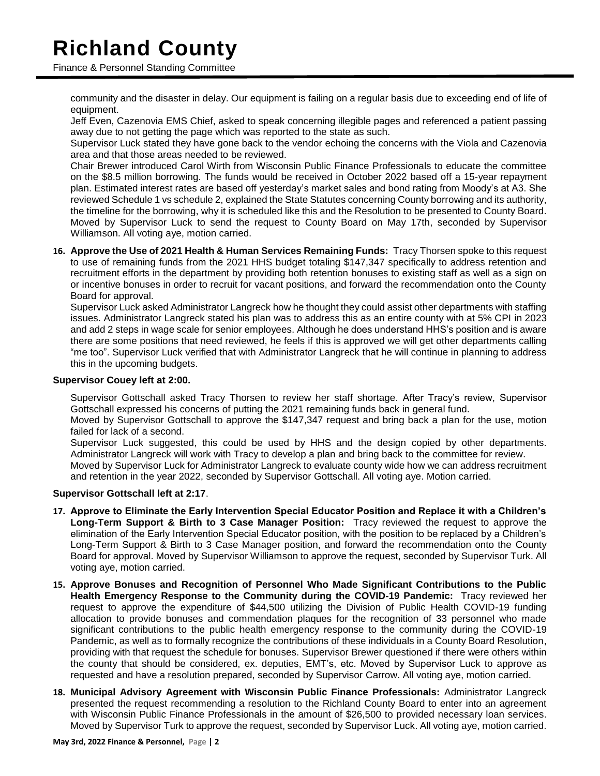# **Richland County**

Finance & Personnel Standing Committee

community and the disaster in delay. Our equipment is failing on a regular basis due to exceeding end of life of equipment.

Jeff Even, Cazenovia EMS Chief, asked to speak concerning illegible pages and referenced a patient passing away due to not getting the page which was reported to the state as such.

Supervisor Luck stated they have gone back to the vendor echoing the concerns with the Viola and Cazenovia area and that those areas needed to be reviewed.

Chair Brewer introduced Carol Wirth from Wisconsin Public Finance Professionals to educate the committee on the \$8.5 million borrowing. The funds would be received in October 2022 based off a 15-year repayment plan. Estimated interest rates are based off yesterday's market sales and bond rating from Moody's at A3. She reviewed Schedule 1 vs schedule 2, explained the State Statutes concerning County borrowing and its authority, the timeline for the borrowing, why it is scheduled like this and the Resolution to be presented to County Board. Moved by Supervisor Luck to send the request to County Board on May 17th, seconded by Supervisor Williamson. All voting aye, motion carried.

**16. Approve the Use of 2021 Health & Human Services Remaining Funds:** Tracy Thorsen spoke to this request to use of remaining funds from the 2021 HHS budget totaling \$147,347 specifically to address retention and recruitment efforts in the department by providing both retention bonuses to existing staff as well as a sign on or incentive bonuses in order to recruit for vacant positions, and forward the recommendation onto the County Board for approval.

Supervisor Luck asked Administrator Langreck how he thought they could assist other departments with staffing issues. Administrator Langreck stated his plan was to address this as an entire county with at 5% CPI in 2023 and add 2 steps in wage scale for senior employees. Although he does understand HHS's position and is aware there are some positions that need reviewed, he feels if this is approved we will get other departments calling "me too". Supervisor Luck verified that with Administrator Langreck that he will continue in planning to address this in the upcoming budgets.

#### **Supervisor Couey left at 2:00.**

Supervisor Gottschall asked Tracy Thorsen to review her staff shortage. After Tracy's review, Supervisor Gottschall expressed his concerns of putting the 2021 remaining funds back in general fund.

Moved by Supervisor Gottschall to approve the \$147,347 request and bring back a plan for the use, motion failed for lack of a second.

Supervisor Luck suggested, this could be used by HHS and the design copied by other departments. Administrator Langreck will work with Tracy to develop a plan and bring back to the committee for review.

Moved by Supervisor Luck for Administrator Langreck to evaluate county wide how we can address recruitment and retention in the year 2022, seconded by Supervisor Gottschall. All voting aye. Motion carried.

#### **Supervisor Gottschall left at 2:17**.

- **17. Approve to Eliminate the Early Intervention Special Educator Position and Replace it with a Children's Long-Term Support & Birth to 3 Case Manager Position:** Tracy reviewed the request to approve the elimination of the Early Intervention Special Educator position, with the position to be replaced by a Children's Long-Term Support & Birth to 3 Case Manager position, and forward the recommendation onto the County Board for approval. Moved by Supervisor Williamson to approve the request, seconded by Supervisor Turk. All voting aye, motion carried.
- **15. Approve Bonuses and Recognition of Personnel Who Made Significant Contributions to the Public Health Emergency Response to the Community during the COVID-19 Pandemic:** Tracy reviewed her request to approve the expenditure of \$44,500 utilizing the Division of Public Health COVID-19 funding allocation to provide bonuses and commendation plaques for the recognition of 33 personnel who made significant contributions to the public health emergency response to the community during the COVID-19 Pandemic, as well as to formally recognize the contributions of these individuals in a County Board Resolution, providing with that request the schedule for bonuses. Supervisor Brewer questioned if there were others within the county that should be considered, ex. deputies, EMT's, etc. Moved by Supervisor Luck to approve as requested and have a resolution prepared, seconded by Supervisor Carrow. All voting aye, motion carried.
- **18. Municipal Advisory Agreement with Wisconsin Public Finance Professionals:** Administrator Langreck presented the request recommending a resolution to the Richland County Board to enter into an agreement with Wisconsin Public Finance Professionals in the amount of \$26,500 to provided necessary loan services. Moved by Supervisor Turk to approve the request, seconded by Supervisor Luck. All voting aye, motion carried.